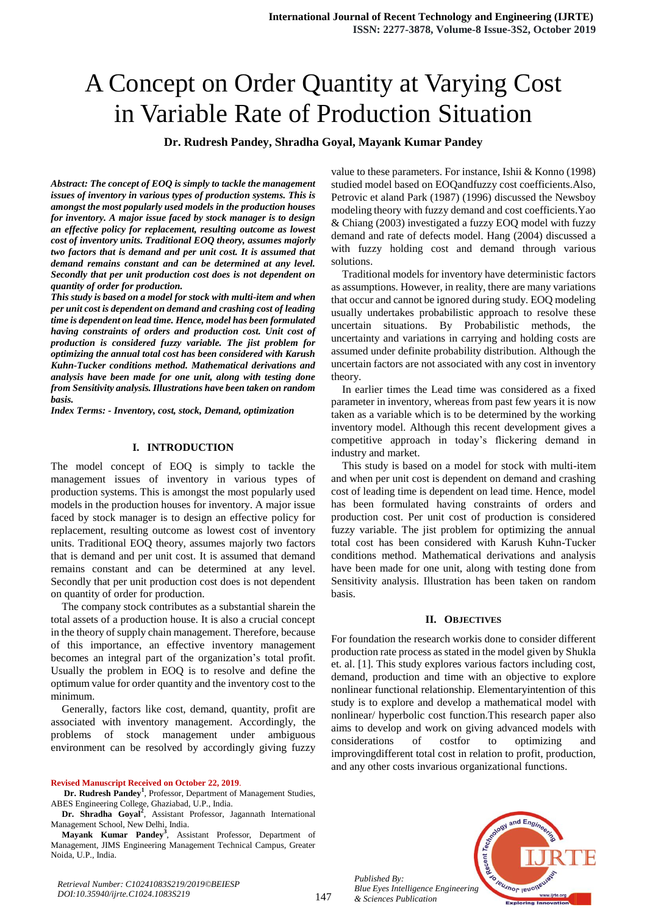# A Concept on Order Quantity at Varying Cost in Variable Rate of Production Situation

**Dr. Rudresh Pandey, Shradha Goyal, Mayank Kumar Pandey**

*Abstract: The concept of EOQ is simply to tackle the management issues of inventory in various types of production systems. This is amongst the most popularly used models in the production houses for inventory. A major issue faced by stock manager is to design an effective policy for replacement, resulting outcome as lowest cost of inventory units. Traditional EOQ theory, assumes majorly two factors that is demand and per unit cost. It is assumed that demand remains constant and can be determined at any level. Secondly that per unit production cost does is not dependent on quantity of order for production.*

*This study is based on a model for stock with multi-item and when per unit cost is dependent on demand and crashing cost of leading time is dependent on lead time. Hence, model has been formulated having constraints of orders and production cost. Unit cost of production is considered fuzzy variable. The jist problem for optimizing the annual total cost has been considered with Karush Kuhn-Tucker conditions method. Mathematical derivations and analysis have been made for one unit, along with testing done from Sensitivity analysis. Illustrations have been taken on random basis.*

*Index Terms: - Inventory, cost, stock, Demand, optimization*

#### **I. INTRODUCTION**

The model concept of EOQ is simply to tackle the management issues of inventory in various types of production systems. This is amongst the most popularly used models in the production houses for inventory. A major issue faced by stock manager is to design an effective policy for replacement, resulting outcome as lowest cost of inventory units. Traditional EOQ theory, assumes majorly two factors that is demand and per unit cost. It is assumed that demand remains constant and can be determined at any level. Secondly that per unit production cost does is not dependent on quantity of order for production.

The company stock contributes as a substantial sharein the total assets of a production house. It is also a crucial concept in the theory of supply chain management. Therefore, because of this importance, an effective inventory management becomes an integral part of the organization's total profit. Usually the problem in EOQ is to resolve and define the optimum value for order quantity and the inventory cost to the minimum.

Generally, factors like cost, demand, quantity, profit are associated with inventory management. Accordingly, the problems of stock management under ambiguous environment can be resolved by accordingly giving fuzzy

#### **Revised Manuscript Received on October 22, 2019**.

**Dr. Rudresh Pandey<sup>1</sup>** , Professor, Department of Management Studies, ABES Engineering College, Ghaziabad, U.P., India.

Dr. Shradha Goyal<sup>2</sup>, Assistant Professor, Jagannath International Management School, New Delhi, India.

**Mayank Kumar Pandey<sup>3</sup>** , Assistant Professor, Department of Management, JIMS Engineering Management Technical Campus, Greater Noida, U.P., India.

value to these parameters. For instance, Ishii & Konno (1998) studied model based on EOQandfuzzy cost coefficients.Also, Petrovic et aland Park (1987) (1996) discussed the Newsboy modeling theory with fuzzy demand and cost coefficients.Yao & Chiang (2003) investigated a fuzzy EOQ model with fuzzy demand and rate of defects model. Hang (2004) discussed a with fuzzy holding cost and demand through various solutions.

Traditional models for inventory have deterministic factors as assumptions. However, in reality, there are many variations that occur and cannot be ignored during study. EOQ modeling usually undertakes probabilistic approach to resolve these uncertain situations. By Probabilistic methods, the uncertainty and variations in carrying and holding costs are assumed under definite probability distribution. Although the uncertain factors are not associated with any cost in inventory theory.

In earlier times the Lead time was considered as a fixed parameter in inventory, whereas from past few years it is now taken as a variable which is to be determined by the working inventory model. Although this recent development gives a competitive approach in today's flickering demand in industry and market.

This study is based on a model for stock with multi-item and when per unit cost is dependent on demand and crashing cost of leading time is dependent on lead time. Hence, model has been formulated having constraints of orders and production cost. Per unit cost of production is considered fuzzy variable. The jist problem for optimizing the annual total cost has been considered with Karush Kuhn-Tucker conditions method. Mathematical derivations and analysis have been made for one unit, along with testing done from Sensitivity analysis. Illustration has been taken on random basis.

#### **II. OBJECTIVES**

For foundation the research workis done to consider different production rate process as stated in the model given by Shukla et. al. [1]. This study explores various factors including cost, demand, production and time with an objective to explore nonlinear functional relationship. Elementaryintention of this study is to explore and develop a mathematical model with nonlinear/ hyperbolic cost function.This research paper also aims to develop and work on giving advanced models with considerations of costfor to optimizing and improvingdifferent total cost in relation to profit, production, and any other costs invarious organizational functions.



*Published By: Blue Eyes Intelligence Engineering & Sciences Publication*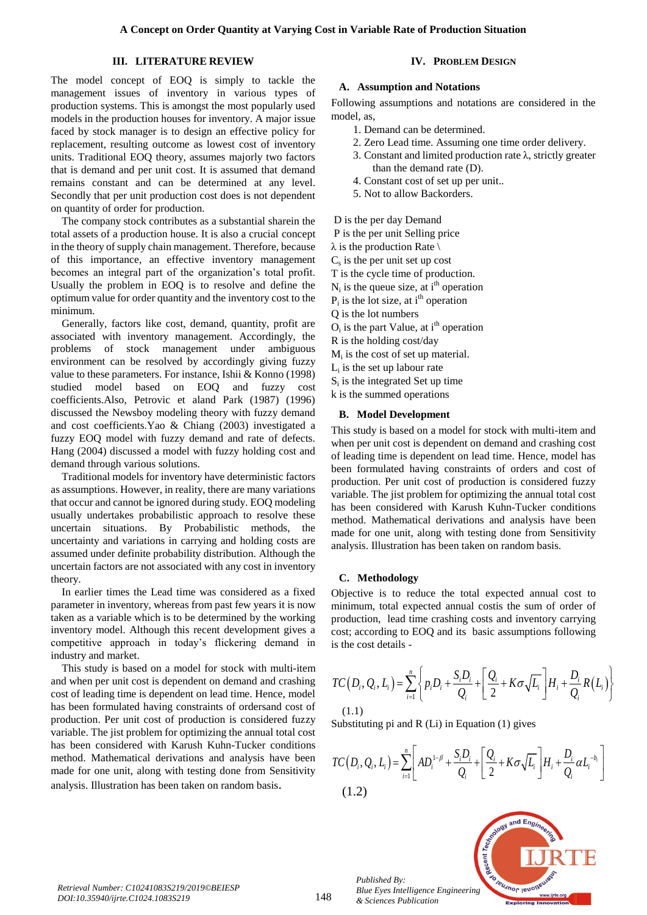## **III. LITERATURE REVIEW**

The model concept of EOQ is simply to tackle the management issues of inventory in various types of production systems. This is amongst the most popularly used models in the production houses for inventory. A major issue faced by stock manager is to design an effective policy for replacement, resulting outcome as lowest cost of inventory units. Traditional EOQ theory, assumes majorly two factors that is demand and per unit cost. It is assumed that demand remains constant and can be determined at any level. Secondly that per unit production cost does is not dependent on quantity of order for production.

The company stock contributes as a substantial sharein the total assets of a production house. It is also a crucial concept in the theory of supply chain management. Therefore, because of this importance, an effective inventory management becomes an integral part of the organization's total profit. Usually the problem in EOQ is to resolve and define the optimum value for order quantity and the inventory cost to the minimum.

Generally, factors like cost, demand, quantity, profit are associated with inventory management. Accordingly, the problems of stock management under ambiguous environment can be resolved by accordingly giving fuzzy value to these parameters. For instance, Ishii & Konno (1998) studied model based on EOQ and fuzzy cost coefficients.Also, Petrovic et aland Park (1987) (1996) discussed the Newsboy modeling theory with fuzzy demand and cost coefficients.Yao & Chiang (2003) investigated a fuzzy EOQ model with fuzzy demand and rate of defects. Hang (2004) discussed a model with fuzzy holding cost and demand through various solutions.

Traditional models for inventory have deterministic factors as assumptions. However, in reality, there are many variations that occur and cannot be ignored during study. EOQ modeling usually undertakes probabilistic approach to resolve these uncertain situations. By Probabilistic methods, the uncertainty and variations in carrying and holding costs are assumed under definite probability distribution. Although the uncertain factors are not associated with any cost in inventory theory.

In earlier times the Lead time was considered as a fixed parameter in inventory, whereas from past few years it is now taken as a variable which is to be determined by the working inventory model. Although this recent development gives a competitive approach in today's flickering demand in industry and market.

This study is based on a model for stock with multi-item and when per unit cost is dependent on demand and crashing cost of leading time is dependent on lead time. Hence, model has been formulated having constraints of ordersand cost of production. Per unit cost of production is considered fuzzy variable. The jist problem for optimizing the annual total cost has been considered with Karush Kuhn-Tucker conditions method. Mathematical derivations and analysis have been made for one unit, along with testing done from Sensitivity analysis. Illustration has been taken on random basis.

# **IV. PROBLEM DESIGN**

# **A. Assumption and Notations**

Following assumptions and notations are considered in the model, as,

- 1. Demand can be determined.
- 2. Zero Lead time. Assuming one time order delivery.
- 3. Constant and limited production rate  $\lambda$ , strictly greater than the demand rate (D).
- 4. Constant cost of set up per unit..
- 5. Not to allow Backorders.

D is the per day Demand

P is the per unit Selling price

 $\lambda$  is the production Rate \

 $C_s$  is the per unit set up cost

T is the cycle time of production.

 $N_i$  is the queue size, at i<sup>th</sup> operation

 $P_i$  is the lot size, at i<sup>th</sup> operation

Q is the lot numbers

 $O_i$  is the part Value, at i<sup>th</sup> operation

R is the holding cost/day

 $M<sub>i</sub>$  is the cost of set up material.

Li is the set up labour rate

Si is the integrated Set up time

k is the summed operations

# **B. Model Development**

This study is based on a model for stock with multi-item and when per unit cost is dependent on demand and crashing cost of leading time is dependent on lead time. Hence, model has been formulated having constraints of orders and cost of production. Per unit cost of production is considered fuzzy variable. The jist problem for optimizing the annual total cost has been considered with Karush Kuhn-Tucker conditions method. Mathematical derivations and analysis have been made for one unit, along with testing done from Sensitivity analysis. Illustration has been taken on random basis. riable Rate of Production Situation<br>
W. PROBLEM DISIGN<br>
sesumption and Notations<br>
ing assumptions and notations<br>
ing assumptions and notations<br>
are considered in the<br>
Demand can be determined.<br>
Let Use Use Use Use Use Use *i* in the set of the set of the set of the set of  $D_i$ .<br> *i* or  $D_i$  is in the set of  $D_i$  is in the set of  $D_i$  is in the set of  $D_i$  is it is in the set of production is considered fuzzy optimizing the annual total cos Constant and mimed procured mean the constant of the constant of the constant cost of set up per unit.<br>
Constant cost of set up per unit.<br>
Constant cost of set up per unit.<br>
Not to allow Backorders.<br>
Not to allow Backorde *i* demand rate (D).<br> *i* demand rate (D).<br>
Cost of set up per unit.<br>
Demand<br>
Selling price<br>
Demand<br>
Selling price<br>
sce, at i<sup>th</sup> operation<br>
est up cost<br>
est up cost<br>
est up to deradic intervals.<br>
tert up metrial.<br>
e. at *S D Q D TC D Q L p D K L H R L Q Q* Rate of Production Situation<br>
TV. PROBLEM DESIGN<br>
tion and Notations<br>
tion and Notations<br>
and and interaction<br>
and interaction<br>
and interaction are considered in the<br>
denoted and dimeteraction are  $\lambda$ , strictly greater<br> ariable Rate of Production Situation<br>
1V. PRON EN IBSECK<br>
Assumption and Notations<br>  $\overline{BC}$ . Zero Lead time aboutions are considered in the<br>
assumption and Notations<br>
2. Zero Lead time advantage on time order delivery.<br> ion.<br>
ion.<br>
ion.<br>
al.<br>
e<br>
e<br>
e<br>
ion n lead time. Hence, model has<br>
ion lead time. Hence, model has<br>
startinis of orders and cost of<br>
production is considered fuzzy<br>
optimizing the annual total cost<br>
arions Kuhn-Tucker con The per unit set up cost<br>
is eyed in or of production.<br>
in equestions of production<br>
in the due to size, at i<sup>16</sup> operation<br>
in lot size, at i<sup>16</sup> operation<br>
in let out subtige costaly <sup>11</sup> operation<br>
in the local of set set up toos<br>
set up toos<br>
set up material.<br>
inta d i<sup>th</sup> operation<br>
the of production.<br>
set up material.<br>
set up material.<br>
set up material.<br>
set up material.<br>
set up material.<br>
set up material.<br>
set up material.<br>
ed on a *S D Q D TC D Q L AD K L H L Q Q* Froduction Situation<br> **PROBLEM DESIGN**<br> **CONDER DESIGN**<br> **CONDER CONDER CONDER CONDER CONDER CONDER CONDER CONDER CONDER CONDER CONDER CONDER CONDER CONDER SUPPORTED and the (D),<br>**  $\Delta$  **and**  $\Delta$  **and**  $\Delta$  **and**  $\Delta$  **and**  $\Delta$  **Rate of Production Situation**<br>
TV. **PROILENT DESIGN**<br>
The matrices of notations<br>
and not be determined.<br>
and an be determined.<br>
and an be determined.<br>
and all can be determined.<br>
and all can be determined.<br>
and all can b

# **C. Methodology**

Objective is to reduce the total expected annual cost to minimum, total expected annual costis the sum of order of production, lead time crashing costs and inventory carrying cost; according to EOQ and its basic assumptions following is the cost details -

$$
TC(D_i, Q_i, L_i) = \sum_{i=1}^n \left\{ p_i D_i + \frac{S_i D_i}{Q_i} + \left[ \frac{Q_i}{2} + K \sigma \sqrt{L_i} \right] H_i + \frac{D_i}{Q_i} R(L_i) \right\}
$$
\n(1.1)

Substituting pi and R (Li) in Equation (1) gives

$$
TC(D_i, Q_i, L_i) = \sum_{i=1}^{n} \left[ AD_i^{1-\beta} + \frac{S_i D_i}{Q_i} + \left[ \frac{Q_i}{2} + K \sigma \sqrt{L_i} \right] H_i + \frac{D_i}{Q_i} \alpha L_i^{-b_i} \right]
$$
\n(1.2)



*Published By: Blue Eyes Intelligence Engineering & Sciences Publication*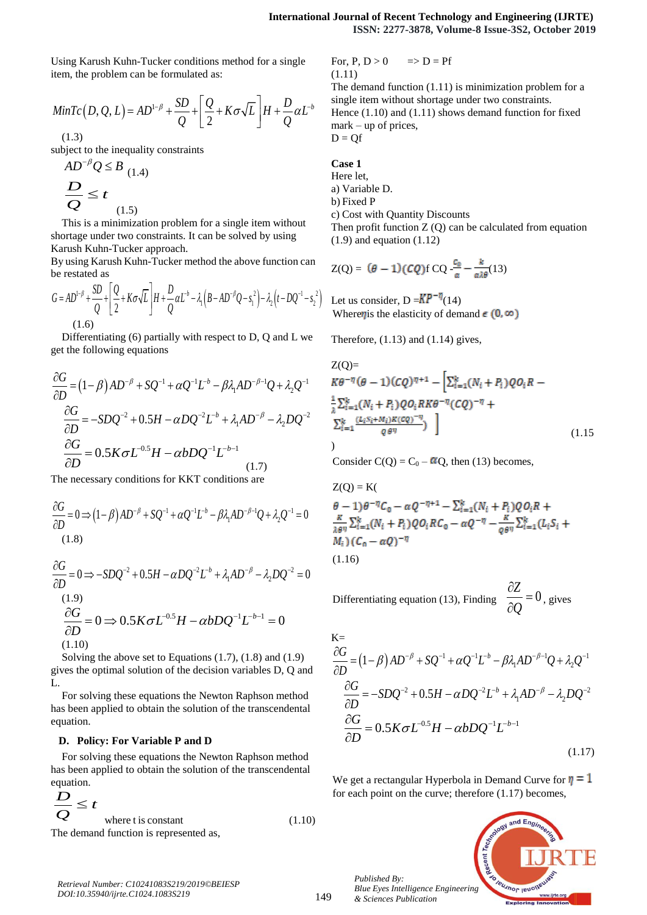Using Karush Kuhn-Tucker conditions method for a single item, the problem can be formulated as:

**International Comparison of Content in Image and Provided HTML Representation\n\n1. \*\*Equation Structure\*\*: The image shows a mathematical equation, we have:\n
$$
\text{MinTc}(D, Q, L) = AD^{1-\beta} + \frac{SD}{Q} + \left[ \frac{Q}{2} + K\sigma\sqrt{L} \right]H + \frac{D}{Q}\alpha L^{-b}
$$
\n
$$
\text{(1.3)}
$$
\n
$$
\text{subject to the inequality constraints}
$$
\n
$$
AD^{-\beta}Q \leq B \quad \text{(1.4)}
$$
\n
$$
\frac{D}{Q} \leq t
$$
\n
$$
\frac{D}{Q} \leq t
$$**

(1.3)

subject to the inequality constraints

AD 
$$
^pQ \leq B_{(1,4)}
$$
  
\n
$$
\frac{D}{Q} \leq t_{(1,5)}
$$

This is a minimization problem for a single item without shortage under two constraints. It can be solved by using Karush Kuhn-Tucker approach.

By using Karush Kuhn-Tucker method the above function can be restated as

**International Journal**  
\nUsing Karush Kuhn-Tucker conditions method for a single  
\nitem, the problem can be formulated as: (1.11)  
\nThe der  
\n
$$
MinTc(D, Q, L) = AD^{1-\beta} + \frac{SD}{Q} + \left[\frac{Q}{2} + K\sigma\sqrt{L}\right]H + \frac{D}{Q}\alpha L^{-b}
$$
   
\n $1.3$    
\nsubject to the inequality constraints  
\n $AD^{-\beta}Q \leq B$  (1.4)  
\n $AD^{-\beta}Q \leq B$  (1.4)  
\n $Q \leq B$  (1.5)  
\nThis is a minimization problem for a single item without  
\nshortage under two constraints. It can be solved by using  
\nKarush Kuhn-Tucker approach.  
\nBy using Karush Kuhn-Tucker method the above function can  
\nbe restated as  
\n $G = AD^{1-\beta} + \frac{SD}{Q} + \left[\frac{Q}{2} + K\sigma\sqrt{L}\right]H + \frac{D}{Q}\alpha L^{b} - \lambda_1(B - AD^{-\beta}Q - s_1^{-2}) - \lambda_2(t - DQ^{-1} - s_2^{-2})$  Let us do  
\n $Q = 0$   
\n $1.6$   
\n**EXECUTE:** (1.6)

Differentiating (6) partially with respect to D, Q and L we get the following equations

**International Journal of Recent Technology and Engineering (LRTF)**  
\nUsing Karash Kuhn-Tucker conditions method for a single  
\nthen, the problem can be formulated as:  
\n
$$
Q(1, 2)
$$
  
\n $MinTc(D, Q, L) = AD^{-\beta} + \frac{2D}{C} + \left[\frac{Q}{2} + K\sigma\sqrt{L}\right]H + \frac{D}{Q}aL^{\alpha}$   
\n $1.111$   
\n $1.121$   
\n $1.131$   
\n $1.142$   
\n $1.151$   
\n $1.163$   
\n $1.151$   
\n $1.163$   
\n $1.165$   
\n $1.151$   
\n $1.161$   
\n $1.161$   
\n $1.171$   
\n $1.181$   
\n $1.191$   
\n $1.191$   
\n $1.101$   
\n $1.101$   
\n $1.101$   
\n $1.101$   
\n $1.101$   
\n $1.101$   
\n $1.101$   
\n $1.101$   
\n $1.101$   
\n $1.101$   
\n $1.101$   
\n $1.101$   
\n $1.101$   
\n $1.101$   
\n $1.101$   
\n $1.101$   
\n $1.101$   
\n $1.101$   
\n $1.101$   
\n $1.101$   
\n $1.101$   
\n $1.101$   
\n $1.101$   
\n $1.101$   
\n $1.101$   
\n $1.101$   
\n $1.101$   
\n $1.101$   
\n $1.101$   
\n $1.1$ 

The necessary conditions for KKT conditions are

$$
\frac{\partial G}{\partial D} = 0 \Longrightarrow (1 - \beta)AD^{-\beta} + SQ^{-1} + \alpha Q^{-1}L^{-\beta} - \beta \lambda_1 AD^{-\beta - 1}Q + \lambda_2 Q^{-1} = 0
$$
\n(1.8)

$$
\frac{\partial G}{\partial D} = 0 \Rightarrow -SDQ^{-2} + 0.5H - \alpha DQ^{-2}L^{-b} + \lambda_1 AD^{-\beta} - \lambda_2 DQ^{-2} = 0
$$
  
(1.9)  

$$
\frac{\partial G}{\partial D} = 0 \Rightarrow 0.5K\sigma L^{-0.5}H - \alpha bDQ^{-1}L^{-b-1} = 0
$$
  
(1.10)

Solving the above set to Equations (1.7), (1.8) and (1.9) gives the optimal solution of the decision variables D, Q and  $L$ 

For solving these equations the Newton Raphson method has been applied to obtain the solution of the transcendental equation.

#### **D. Policy: For Variable P and D**

For solving these equations the Newton Raphson method has been applied to obtain the solution of the transcendental equation.

$$
\frac{D}{Q} \leq t
$$
\nwhere t is constant

\nThe demand function is represented as,

\n
$$
\tag{1.10}
$$

For,  $P, D > 0$   $\Rightarrow D = Pf$ (1.11)

The demand function (1.11) is minimization problem for a single item without shortage under two constraints. Hence (1.10) and (1.11) shows demand function for fixed mark – up of prices,  $D = Of$ 

$$
f_{\rm{max}}
$$

**International Journal of Recent Technology and EngthSIN:** ISSN: 2277-3878, Volume-8 Issue-<br>
Letem, the problem can be formulated as:<br>  $\lim_{T \to \infty} \frac{1}{2} + \frac{D}{2} + \left[ \frac{Q}{2} + K \sigma \sqrt{L} \right] H + \frac{D}{Q} \alpha L^3$ <br>  $\lim_{T \to \infty} \frac{1}{2}$  **International Journal of Recent Technology and Engineering (JIRTE)**<br>
ISSN: 2277-3878, Volume-8 Issue-3S2, October 2019<br>
the demand finction (1.11) is minimization problem for a<br>  $= AD^{-\beta} + \frac{SD}{Q} + \left[ \frac{Q}{2} + K\sigma\sqrt{L} \right]H + \frac$ **Case 1** Here let, a) Variable D. b) Fixed P c) Cost with Quantity Discounts Then profit function  $Z(Q)$  can be calculated from equation (1.9) and equation (1.12)

$$
Z(Q) = (\theta - 1)(CQ)fCQ - \frac{c_0}{\alpha} - \frac{k}{\alpha\lambda\theta}(13)
$$

 $\left[\beta - AD''Q - s_1\right] - \lambda_2(t - DQ' - s_2)$  Let us consider,  $D = NP^{-n}(14)$ Where *n* is the elasticity of demand  $\epsilon$  (0,  $\infty$ )

Therefore,  $(1.13)$  and  $(1.14)$  gives,

**International Journal of Recent Technology and Engineering (JIRE)**  
\nISSN: 2277-3878, Volume-8 Issue-352, October 2019  
\nthen-Tucker conditions method for a single  
\nmean be formulated as:  
\n(1.11)  
\n(1.12)  
\n(1.13)  
\n(1.14)  
\n(1.15)  
\n
$$
= AD^{-1/3} + \frac{SD}{Q} + \left[\frac{Q}{2} + K\sigma\sqrt{L}\right]H + \frac{D}{Q}\alpha L^3
$$
\n(1.16)  
\nHence (1.10) and (1.11) shows demand function for fixed  
\nnequality constraints  
\n
$$
D = Q\hat{f}
$$
  
\n(1.4)  
\n(1.4)  
\n(1.5)  
\n1.6)  
\n1.7  
\n1.8)  
\n1.9  
\nVariated P  
\nfor a single item without  $Q$  on the calculated from equation  
\ninvariant, I can be solved by using  
\n(1.9) and equation (1.12)  
\n(1.10)  
\n(1.11)  
\n(1.12)  
\n(1.13)  
\n(1.14)  
\n(1.15)  
\n(1.16)  
\n(1.17)  
\n(1.18)  
\n(1.19)  
\n(1.10)  
\n(1.11)  
\n(1.10)  
\n(1.11)  
\n(1.12)  
\n(1.13)  
\n(1.14)  
\n(1.15)  
\n(1.16)  
\n(1.17)  
\n(1.18)  
\n(1.19)  
\n(1.10)  
\n(1.10)  
\n(1.11)  
\n(1.11)  
\n(1.12)  
\n(1.13)  
\n(1.14)  
\n(1.15)  
\n(1.16)  
\n(1.17)  
\n(1.19)  
\n(1.10)  
\n(1.11)  
\n(1.11)  
\n(1.12)  
\n(1.13)  
\n(1.14)  
\n(1.15)  
\n(1.16)  
\n(1.17)  
\n(1.18)  
\n(1.19)  
\n(1.110)  
\n(1.10)  
\n(1.111)  
\n(1.12

Consider C(Q) =  $C_0 - \alpha Q$ , then (13) becomes,

$$
Z(Q) = K(\theta - 1)\theta^{-\eta}C_0 - \alpha Q^{-\eta + 1} - \sum_{i=1}^k (N_i + P_i)QQ_iR +
$$
  

$$
\frac{\kappa}{\lambda \theta^{\eta}} \sum_{i=1}^k (N_i + P_i)QQ_iRC_0 - \alpha Q^{-\eta} - \frac{\kappa}{\varrho \theta^{\eta}} \sum_{i=1}^k (L_iS_i + M_i)(C_0 - \alpha Q)^{-\eta}
$$
  

$$
(1.16)
$$

Differentiating equation (13), Finding  $\frac{\partial Z}{\partial \theta} = 0$ , gives *Q*  $\partial Z$  $= 0$ , gives  $\overline{\partial Q}$  = 0, gives

 K= 1 1 1 1 1 2 1 *G b AD SQ Q L AD Q Q D* 2 2 2 1 2 0.5 *G b SDQ H DQ L AD DQ D* 0.5 1 1 0.5 *G b K L H bDQ L D* (1.17)

We get a rectangular Hyperbola in Demand Curve for  $\eta = 1$ for each point on the curve; therefore (1.17) becomes,

*Published By: Blue Eyes Intelligence Engineering & Sciences Publication* 



*Retrieval Number: C10241083S219/2019©BEIESP DOI:10.35940/ijrte.C1024.1083S219*

149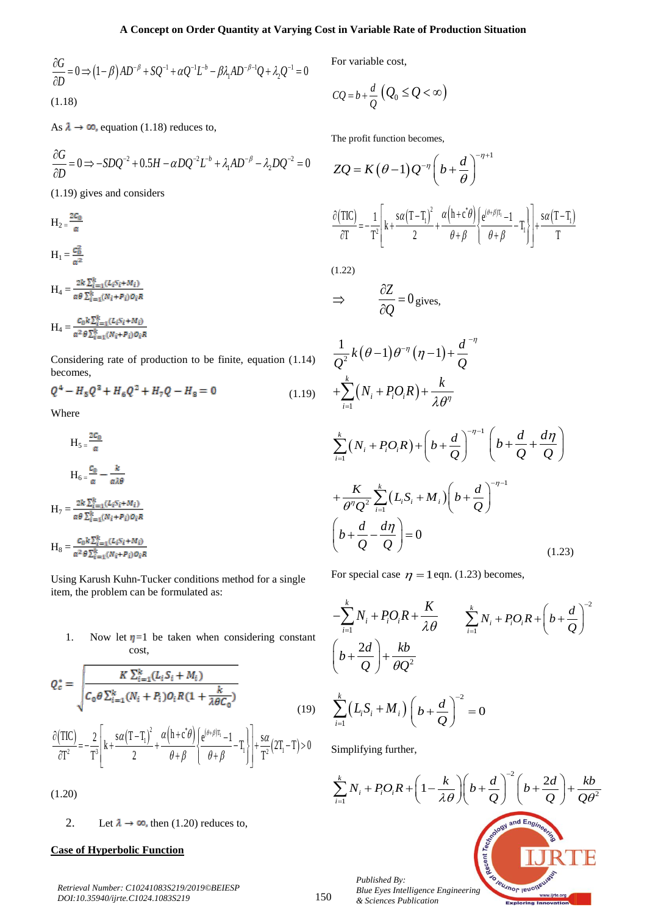A Concept on Order Quantity at Varying Cost in Variable  
\n
$$
\frac{\partial G}{\partial D} = 0 \Rightarrow (1-\beta)AD^{-\beta} + SQ^{-1} + \alpha Q^{-1}L^{-b} - \beta \lambda_1 AD^{-\beta-1}Q + \lambda_2 Q^{-1} = 0
$$
\nFor variable  
\n
$$
CQ = b + \frac{d}{Q}
$$
\nFor variable  
\nAs  $\lambda \to \infty$ , equation (1.18) reduces to,  
\nThe profit fun-  
\n
$$
\frac{\partial G}{\partial D} = 0 \Rightarrow -SDQ^{-2} + 0.5H - \alpha DQ^{-2}L^{-b} + \lambda_1 AD^{-\beta} - \lambda_2 DQ^{-2} = 0
$$
\n
$$
ZQ = K (
$$
\n(1.19) gives and considers  
\n
$$
H_2 = \frac{2c_0}{\alpha}
$$
\n
$$
\frac{\partial (TIC)}{\partial T} = -\frac{1}{T^2}
$$
\n
$$
H_1 = \frac{c_0^2}{\alpha^2}
$$
\n(1.22)

As  $\lambda \to \infty$ , equation (1.18) reduces to,

$$
\frac{\partial G}{\partial D} = 0 \Rightarrow -SDQ^{-2} + 0.5H - \alpha DQ^{-2}L^{-b} + \lambda_1 AD^{-\beta} - \lambda_2 DQ^{-2} = 0
$$

(1.19) gives and considers

 $H_2 = \frac{2C_0}{\alpha}$  $H_1 = \frac{c_0^2}{\sigma^2}$ 

 $\label{eq:hamiltonian} \mathbf{H}_4 = \frac{2k\sum_{i=1}^k (L_i S_i + M_i)}{\alpha\theta\sum_{i=1}^k (N_i + P_i) o_i R}$ 

 $\label{eq:hamiltonian} \mathbf{H}_4 = \frac{c_0 k \sum_{i=1}^k (L_i s_i + M_i)}{\alpha^2 \theta \sum_{i=1}^k (N_i + P_i) o_i R}$ 

Considering rate of production to be finite, equation (1.14) becomes,

$$
Q^4 - H_5 Q^2 + H_6 Q^2 + H_7 Q - H_8 = 0 \tag{1.19}
$$

Where

$$
H_5 = \frac{2c_0}{\alpha}
$$
  
\n
$$
H_6 = \frac{c_0}{\alpha} - \frac{k}{\alpha \lambda \theta}
$$
  
\n
$$
H_7 = \frac{2k \sum_{i=1}^{k} (L_i S_i + M_i)}{\alpha \theta \sum_{i=1}^{k} (N_i + P_i) o_i R}
$$
  
\n
$$
H_8 = \frac{c_0 k \sum_{i=1}^{k} (L_i S_i + M_i)}{\alpha^2 \theta \sum_{i=1}^{k} (N_i + P_i) o_i R}
$$

Using Karush Kuhn-Tucker conditions method for a single item, the problem can be formulated as:

1. Now let  $\eta=1$  be taken when considering constant cost,

$$
Q_c^* = \sqrt{\frac{K \sum_{i=1}^k (L_i S_i + M_i)}{C_0 \theta \sum_{i=1}^k (N_i + P_i) O_i R (1 + \frac{k}{\lambda \theta C_0})}}
$$
(19)

$$
\frac{\partial (TIC)}{\partial T^2} = -\frac{2}{T^3} \left[ k + \frac{s\alpha (T - T_1)^2}{2} + \frac{\alpha (h + c^* \theta)}{\theta + \beta} \left\{ \frac{e^{(\theta + \beta)T_1} - 1}{\theta + \beta} - T_1 \right\} \right] + \frac{s\alpha}{T^2} (2T_1 - T) > 0 \qquad \text{Sin} \qquad \frac{\partial}{\partial T} = -\frac{1}{T^3} \left[ k + \frac{s\alpha (T - T_1)^2}{2} + \frac{\alpha (h + c^* \theta)}{\theta + \beta} \left\{ \frac{e^{(\theta + \beta)T_1} - 1}{\theta + \beta} - T_1 \right\} \right]
$$

(1.20)

2. Let  $\lambda \to \infty$ , then (1.20) reduces to,

## **Case of Hyperbolic Function**

*Retrieval Number: C10241083S219/2019©BEIESP DOI:10.35940/ijrte.C1024.1083S219*

For variable cost,

t in Variable Rate of Production Situation  
For variable cost,  

$$
CQ = b + \frac{d}{Q} (Q_0 \le Q < \infty)
$$
  
The profit function becomes,

The profit function becomes,

A Concept on Order Quantity at Varying Cost in Variable Rate of Production Situation  
\n
$$
\frac{\partial G}{\partial D} = 0 \Rightarrow (1-\beta)AD^{-\beta} + SQ^{-1} + \alpha Q^{-1}L^+ - \beta \lambda_1AD^{-\beta-1}Q + \lambda_2Q^{-1} = 0
$$
\nFor variable cost,  
\n
$$
CQ = b + \frac{d}{Q}(Q_0 \leq Q < \infty)
$$
\nThis is a  $\rightarrow \infty$ , equation (1.18) reduces to,  
\n
$$
\frac{\partial G}{\partial D} = 0 \Rightarrow -SDQ^{-2} + 0.5H - \alpha DQ^{-2}L^+ + \lambda_1AD^{-\beta} - \lambda_2DQ^{-2} = 0
$$
\n
$$
ZQ = K(\theta - 1)Q^{-\eta}\left(b + \frac{d}{\theta}\right)^{-\eta+1}
$$
\n(1.19) gives and considers  
\n
$$
H_{2= \frac{2C_0}{\alpha}}
$$
\n
$$
\frac{\partial (TC)}{\partial T} = -\frac{1}{T^2}\left[k + \frac{sq(T-T_i)^2}{2} + \frac{\alpha(h+c\theta)}{\theta+\beta} + \frac{\alpha(T-T_i)}{\theta+\beta} + \frac{sq(T-T_i)}{\theta+\beta}\right]\frac{sq(T-T_i)}{\theta+\beta} + \frac{sq(T-T_i)}{T}
$$
\n
$$
H_1 = \frac{cz}{\alpha^2}
$$
\n(1.22)  
\n
$$
H_4 = \frac{cz}{\alpha^2\theta\sum_{k=1}^k(L\beta_k + M_i)}{zz(\alpha_k + \gamma\omega_1\alpha_k)}
$$
\n
$$
H_4 = \frac{C_0k\sum_{k=1}^k(L\beta_k + M_i)}{z\theta\theta\sum_{k=1}^k(L\beta_k + M_i)} = 0
$$
\nConsider  $\theta$  and  $\theta$  is a constant and  $\theta$  and  $\theta$  is a constant.

(1.22)

$$
\Rightarrow \qquad \frac{\partial Z}{\partial Q} = 0 \text{ gives,}
$$

t in Variable Rate of Production Situation  
\nFor variable cost,  
\n
$$
CQ = b + \frac{d}{Q} (Q_0 \le Q < \infty)
$$
\nThe profit function becomes,  
\n
$$
ZQ = K (\theta - 1) Q^{-\eta} (b + \frac{d}{\theta})^{-\eta + 1}
$$
\n
$$
\frac{\partial [TC]}{\partial T} = -\frac{1}{T^2} \Bigg[ k + \frac{sa(T - T_1)^2}{2} + \frac{a(b + c^2)}{\theta + \beta} \Bigg] \frac{e^{(a + \beta T)} - 1}{\theta + \beta} - \frac{1}{T} \Bigg] + \frac{sa(T - T_1)}{T}
$$
\n(1.22)  
\n
$$
\Rightarrow \frac{\partial Z}{\partial Q} = 0 \text{ gives,}
$$
\n
$$
\frac{1}{Q^2} k (\theta - 1) \theta^{-\eta} (\eta - 1) + \frac{d}{Q}^{-\eta}
$$
\n
$$
+ \sum_{i=1}^k (N_i + P_i Q_i R) + \frac{k}{\lambda \theta^{\eta}}
$$
\n
$$
+ \frac{k}{\theta^{\eta} Q^2} \sum_{i=1}^k (L_i S_i + M_i) (b + \frac{d}{Q})^{-\eta - 1} (b + \frac{d}{Q} + \frac{d\eta}{Q})
$$
\n(1.23)  
\nFor special case  $\eta = 1$  eqn. (1.23) becomes,  
\nFor special case  $\eta = 1$  eqn. (1.23) becomes,  
\n
$$
-\sum_{i=1}^k N_i + P_i Q_i R + \frac{K}{\lambda \theta} \sum_{i=1}^k N_i + P_i Q_i R + (b + \frac{d}{Q})^{-2}
$$
\n(1.24)  
\n
$$
\Bigg( b + \frac{2d}{Q} \Bigg) + \frac{kb}{\theta Q^2}
$$
\n
$$
\sum_{i=1}^k (L_i S_i + M_i) (b + \frac{d}{Q})^{-2} = 0
$$
\nSimplifying further,  
\n
$$
\sum_{i=1}^k N_i + P_i Q_i R + (1 - \frac{k}{\lambda \theta}) (b + \frac{d}{Q})^{-2} (b + \frac{2d}{Q}) + \frac{kb}{Q\theta^2}
$$
\n
$$
B
$$
\n
$$
B
$$
\n
$$
B
$$
\n $$ 

For special case  $\eta = 1$  eqn. (1.23) becomes,

$$
\frac{K}{\theta^{\eta} Q^2} \sum_{i=1}^{k} (L_i S_i + M_i) \left( b + \frac{d}{Q} \right)^{-\eta - 1}
$$
\n
$$
+ \frac{K}{\theta^{\eta} Q^2} \sum_{i=1}^{k} (L_i S_i + M_i) \left( b + \frac{d}{Q} \right)^{-\eta - 1}
$$
\n
$$
\left( b + \frac{d}{Q} - \frac{d\eta}{Q} \right) = 0 \qquad (1.23)
$$
\nFor special case  $\eta = 1$  eqn. (1.23) becomes,  
\n
$$
- \sum_{i=1}^{k} N_i + P_i O_i R + \frac{K}{\lambda \theta} \qquad \sum_{i=1}^{k} N_i + P_i O_i R + \left( b + \frac{d}{Q} \right)^{-2}
$$
\n
$$
\left( b + \frac{2d}{Q} \right) + \frac{kb}{\theta Q^2}
$$
\n
$$
\sum_{i=1}^{k} (L_i S_i + M_i) \left( b + \frac{d}{Q} \right)^{-2} = 0
$$
\nSimplifying further,

Simplifying further,

$$
\sum_{i=1}^{k} N_i + P_i O_i R + \left(1 - \frac{k}{\lambda \theta}\right) \left(b + \frac{d}{Q}\right)^{-2} \left(b + \frac{2d}{Q}\right) + \frac{kb}{Q\theta^2}
$$
\n
$$
= \sum_{\substack{a \text{ is a non-angled point } b \text{ is a prime}} \\ \text{is a non-angled point } b \text{ is a non-angled point } \\ \text{is a non-angled point } b \text{ is a non-angled point } \\ \text{is a non-angled point } b \text{ is a non-angled point } \\ \text{is a non-angled point } b \text{ is a non-angled point } \\ \text{is a non-angled point } b \text{ is a non-angled point } \\ \text{is a non-angled point } b \text{ is a non-angled point } \\ \text{is a non-angled point } b \text{ is a non-angled point } \\ \text{is a non-angled point } b \text{ is a non-angled point } \\ \text{is a non-angled point } b \text{ is a non-angled point } \\ \text{is a non-angled point } b \text{ is a non-angled point } \\ \text{is a non-angled point } b \text{ is a non-angled point } \\ \text{is a non-angled point } b \text{ is a non-angled point } \\ \text{is a non-angled point } b \text{ is a non-angled point } \\ \text{is a non-angled point } b \text{ is a non-angled point } \\ \text{is a non-angled point } b \text{ is a non-angled point } \\ \text{is a non-angled point } b \text{ is a non-angled point } \\ \text{is a non-angled point } b \text{ is a non-angled point } \\ \text{is a non-angled point } b \text{ is a non-angled point } \\ \text{is a non-angled point } b \text{ is a non-angled point } \\ \text{is a non-angled point } b \text{ is a non-angled point } \\ \text{is a non-angled point } b \text{ is a non-angled point } \\ \text{is a non-angled point } b \text{ is a non-angled point } \\ \text{is a non-angled point } b \text{ is a non-angled point } \\ \text{is a non-angled point } b \text{ is a non-angled point } \\ \text{is a non-angled point } b \text{ is a non-angled point } \\ \text{is a non-angled point } b \text{ is a non-angled point } \\ \text{is a non-angled point } b \text{ is a non-angled point } \\ \text{is a non-angled point } b \text{ is a non-angled point } \\ \text{is a non-angled point } b \text{ is a non-angled point } \\ \text{is a non-angled
$$

*Blue Eyes Intelligence Engineering & Sciences Publication* 

150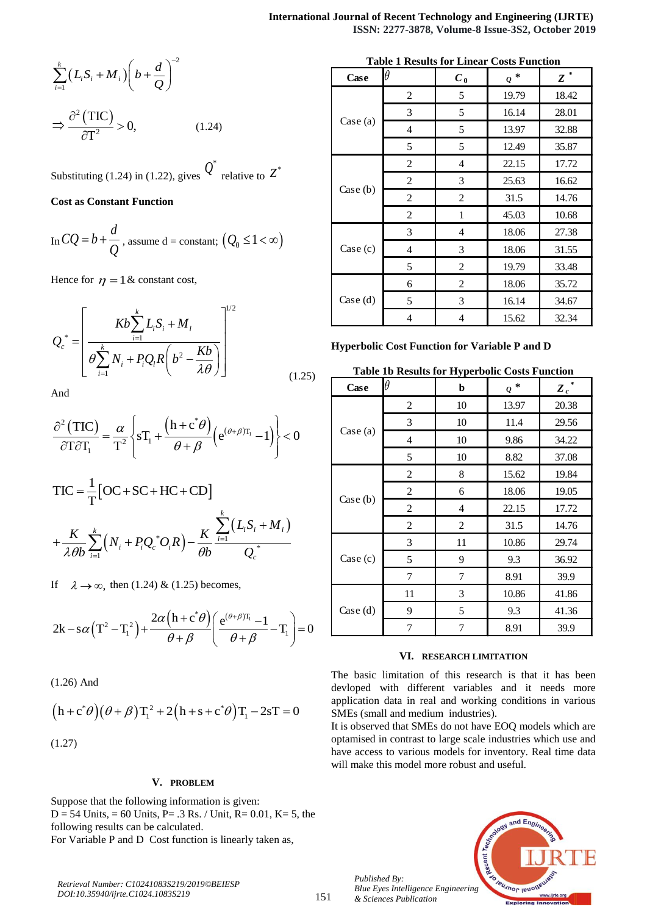**International Journal of** ISSN:  
\n
$$
\sum_{i=1}^{k} (L_i S_i + M_i) \left( b + \frac{d}{Q} \right)^{-2}
$$
\n
$$
\Rightarrow \frac{\partial^2 (TIC)}{\partial T^2} > 0, \qquad (1.24)
$$
\nSubstituting (1.24) in (1.22), gives  $Q^*$  relative to  $Z^*$   
\nCost as Constant Function  
\nIn  $CQ = b + \frac{d}{Q}$ , assume d = constant;  $(Q_0 \le 1 < \infty)$   
\nHence for  $\eta = 1$  & constant cost,  
\n
$$
Q_e^* = \left[ \frac{Kb \sum_{i=1}^{k} L_i S_i + M_i}{\theta \sum_{i=1}^{k} N_i + P_i Q_i R \left( b^2 - \frac{Kb}{\lambda \theta} \right)} \right]^{1/2}
$$
\n
$$
= \left[ \frac{Kb \sum_{i=1}^{k} L_i S_i + M_i}{\theta \sum_{i=1}^{k} N_i + P_i Q_i R \left( b^2 - \frac{Kb}{\lambda \theta} \right)} \right]^{1/2}
$$
\n(1.25)  
\nTable  
\nAnd  
\n
$$
\frac{\partial^2 (TIC)}{\partial T \partial T_1} = \frac{\alpha}{T^2} \left\{ sT_1 + \frac{(h + c^* \theta)}{\theta + \beta} (e^{(\theta + \beta)T_1} - 1) \right\} < 0
$$
\nCase (a)

## **Cost as Constant Function**

In 
$$
CQ = b + \frac{d}{Q}
$$
, assume d = constant;  $(Q_0 \le 1 < \infty)$ 

| International Journal of Recent Technology                                                                                   |                               |                 |                 |                 |                 |                 |                 |                 |                 |                 |                 |                 |                 |                 |                 |                 |                 |                 |                 |                 |                 |                 |                 |                 |                 |                 |                 |                 |             |
|------------------------------------------------------------------------------------------------------------------------------|-------------------------------|-----------------|-----------------|-----------------|-----------------|-----------------|-----------------|-----------------|-----------------|-----------------|-----------------|-----------------|-----------------|-----------------|-----------------|-----------------|-----------------|-----------------|-----------------|-----------------|-----------------|-----------------|-----------------|-----------------|-----------------|-----------------|-----------------|-----------------|-------------|
| $\sum_{i=1}^{k} (L_i S_i + M_i) \left( b + \frac{d}{Q} \right)^{-2}$                                                         | <b>Table 1 Results for Li</b> |                 |                 |                 |                 |                 |                 |                 |                 |                 |                 |                 |                 |                 |                 |                 |                 |                 |                 |                 |                 |                 |                 |                 |                 |                 |                 |                 |             |
| $\Rightarrow \frac{\partial^2 (TIC)}{\partial T^2} > 0$ , (1.24)                                                             | <b>Case (a)</b>               | <b>Case (b)</b> | <b>Case (c)</b> | <b>Case (a)</b> |                 |                 |                 |                 |                 |                 |                 |                 |                 |                 |                 |                 |                 |                 |                 |                 |                 |                 |                 |                 |                 |                 |                 |                 |             |
| $\ln CQ = b + \frac{d}{Q}$ , assume d = constant; $(Q_0 \le 1 < \infty)$                                                     | <b>Case (c)</b>               | <b>Case (c)</b> | <b>Case (d)</b> | <b>Case (e)</b> | <b>Case (f)</b> | <b>Case (g)</b> |                 |                 |                 |                 |                 |                 |                 |                 |                 |                 |                 |                 |                 |                 |                 |                 |                 |                 |                 |                 |                 |                 |             |
| $Q_e^* = \begin{bmatrix} \frac{k}{Q} \sum_{i=1}^{k} L_i S_i + M_i \\ \frac{k}{Q} \sum_{i=1}^{k} L_i S_i + M_i \end{bmatrix}$ | <b>Use (g)</b>                | <b>Case (h)</b> | <b>Case (i)</b> | <b>Case (j)</b> | <b>Case (j)</b> | <b>Case (k)</b> | <b>Case (l)</b> | <b>Case (l)</b> | <b>Case (l)</b> | <b>Case (l)</b> | <b>Case (l)</b> | <b>Case (l)</b> | <b>Case (l)</b> | <b>Case (l)</b> | <b>Case (l)</b> | <b>Case (l)</b> | <b>Case (l)</b> | <b>Case (l)</b> | <b>Case (m)</b> | <b>Case (m)</b> | <b>Case (m)</b> | <b>Case (m)</b> | <b>Case (m)</b> | <b>Case (m)</b> | <b>Case (m)</b> | <b>Case (m)</b> | <b>Case (m)</b> | <b>Case (m)</b> | <b>Case</b> |

And

$$
\frac{\partial^2 (TIC)}{\partial T \partial T_1} = \frac{\alpha}{T^2} \left\{ sT_1 + \frac{(h + c^* \theta)}{\theta + \beta} \left( e^{(\theta + \beta)T_1} - 1 \right) \right\} < 0
$$

$$
\Rightarrow \frac{\partial^2 (\text{TIC})}{\partial T^2} > 0, \qquad (1.24)
$$
  
\nSubstituting (1.24) in (1.22), gives  $Q^{\dagger}$  relative to  $Z^*$   
\nCost as Constant Function  
\nIn  $CQ = b + \frac{d}{Q}$ , assume d = constant;  $(Q_0 \le 1 < \infty)$   
\nHence for  $\eta = 1$  & constant cost,  
\n
$$
Q_c^* = \left[\frac{Kb \sum_{i=1}^k L_i S_i + M_i}{\theta \sum_{i=1}^k N_i + P_i Q_i R \left(b^2 - \frac{Kb}{\lambda \theta}\right)}\right]^{1/2}
$$
\n
$$
\Rightarrow \frac{\text{Case (d)}}{\text{Area (d)}} = \frac{5}{\frac{5}{\pi}} \text{Myerobolic Cost Function}
$$
\nAnd  
\nAnd  
\n
$$
\frac{\partial^2 (\text{TIC})}{\partial T \partial T_1} = \frac{\alpha}{T^2} \left\{ sT_1 + \frac{(h + c^* \theta)}{\theta + \beta} \left( e^{(\theta + \beta)T_1} - 1 \right) \right\} < 0
$$
\n
$$
\text{Table 1b Results}
$$
\n
$$
\frac{\text{Case (a)}}{\text{Case (b)}} = \frac{\frac{2}{\pi}}{\frac{2}{\pi}} \text{Case (b)} = \frac{\frac{2}{\pi}}{\frac{2}{\pi}} \text{Case (c)} = \frac{\frac{2}{\pi}}{\frac{2}{\pi}} \text{Case (d)} = \frac{\frac{2}{\pi}}{\frac{2}{\pi}} \text{Case (e)} = \frac{\frac{2}{\pi}}{\frac{2}{\pi}} \text{Case (b)} = \frac{\frac{2}{\pi}}{\frac{2}{\pi}} \text{Case (c)} = \frac{\frac{2}{\pi}}{\frac{2}{\pi}} \text{Case (d)} = \frac{\frac{2}{\pi}}{\frac{2}{\pi}} \text{Case (e)} = \frac{\frac{2}{\pi}}{\frac{2}{\pi}} \text{Case (f)} = \frac{\frac{2}{\pi}}{\frac{2}{\pi}} \text{Case (g)} = \frac{\frac{2}{\pi}}{\frac{2}{\pi}} \text{Case (h)} = \frac{\frac{2}{\pi}}{\frac{2}{\pi}} \text{Case (i)} = \frac{\frac{2}{\pi}}{\frac
$$

If 
$$
\lambda \to \infty
$$
, then (1.24) & (1.25) becomes,  
\n
$$
2k - s\alpha (T^2 - T_1^2) + \frac{2\alpha (h + c^*\theta)}{\theta + \beta} \left(\frac{e^{(\theta+\beta)T_1} - 1}{\theta + \beta} - T_1\right) = 0
$$

(1.26) And

(1.26) Ana  
\n
$$
(h + c^* \theta)(\theta + \beta)T_1^2 + 2(h + s + c^* \theta)T_1 - 2sT = 0
$$
\n(1.27)

## **V. PROBLEM**

Suppose that the following information is given:  $D = 54$  Units, = 60 Units, P= .3 Rs. / Unit, R= 0.01, K= 5, the following results can be calculated. For Variable P and D Cost function is linearly taken as,

*Retrieval Number: C10241083S219/2019©BEIESP DOI:10.35940/ijrte.C1024.1083S219*

151

| <b>Table 1 Results for Linear Costs Function</b> |  |
|--------------------------------------------------|--|
|--------------------------------------------------|--|

|                                                                                                                                                                                                                                                                                                               | <b>International Journal of Recent Technology and Engineering (IJRTE)</b> |                 |                | ISSN: 2277-3878, Volume-8 Issue-3S2, October 2019     |         |
|---------------------------------------------------------------------------------------------------------------------------------------------------------------------------------------------------------------------------------------------------------------------------------------------------------------|---------------------------------------------------------------------------|-----------------|----------------|-------------------------------------------------------|---------|
|                                                                                                                                                                                                                                                                                                               |                                                                           |                 |                |                                                       |         |
|                                                                                                                                                                                                                                                                                                               |                                                                           |                 |                | <b>Table 1 Results for Linear Costs Function</b>      |         |
|                                                                                                                                                                                                                                                                                                               |                                                                           |                 |                |                                                       | $z^*$   |
|                                                                                                                                                                                                                                                                                                               | Case                                                                      |                 | $C_0$          |                                                       |         |
|                                                                                                                                                                                                                                                                                                               |                                                                           | 2               | 5              | $\varrho$ *<br>19.79                                  | 18.42   |
|                                                                                                                                                                                                                                                                                                               |                                                                           | 3               | 5              | 16.14                                                 | 28.01   |
| (1.24)                                                                                                                                                                                                                                                                                                        | Case (a)                                                                  | $\overline{4}$  | $\overline{5}$ | 13.97                                                 | 32.88   |
|                                                                                                                                                                                                                                                                                                               |                                                                           | 5 <sup>5</sup>  | $\overline{5}$ | 12.49                                                 | 35.87   |
|                                                                                                                                                                                                                                                                                                               |                                                                           | $\overline{2}$  | $\overline{4}$ | 22.15                                                 | 17.72   |
|                                                                                                                                                                                                                                                                                                               |                                                                           | $\overline{2}$  | 3              | 25.63                                                 | 16.62   |
|                                                                                                                                                                                                                                                                                                               | Case $(b)$                                                                | $\overline{2}$  | 2              | 31.5                                                  | 14.76   |
|                                                                                                                                                                                                                                                                                                               |                                                                           | 2               | $\mathbf{1}$   | 45.03                                                 | 10.68   |
|                                                                                                                                                                                                                                                                                                               |                                                                           | $\mathfrak{Z}$  | $\overline{4}$ | 18.06                                                 | 27.38   |
| $\sum_{i=1}^{k} (L_i S_i + M_i) \left(b + \frac{d}{Q}\right)^{-2}$<br>$\Rightarrow \frac{\partial^2 (TIC)}{\partial T^2} > 0,$<br>Substituting (1.24) in (1.22), gives $Q^*$ relative to $Z^*$<br><b>Cost as Constant Function</b><br>In $CQ = b + \frac{d}{Q}$ , assume d = constant; $(Q_0 \le 1 < \infty)$ | Case (c)                                                                  | $\overline{4}$  | $\mathfrak{Z}$ | 18.06                                                 | 31.55   |
|                                                                                                                                                                                                                                                                                                               |                                                                           | $5\overline{)}$ | 2              | 19.79                                                 | 33.48   |
| Hence for $\eta = 1$ & constant cost,                                                                                                                                                                                                                                                                         |                                                                           | 6               | 2              | 18.06                                                 | 35.72   |
|                                                                                                                                                                                                                                                                                                               | Case (d)                                                                  | 5 <sup>5</sup>  | 3              | 16.14                                                 | 34.67   |
|                                                                                                                                                                                                                                                                                                               |                                                                           | $\overline{4}$  | $\overline{4}$ | 15.62                                                 | 32.34   |
|                                                                                                                                                                                                                                                                                                               |                                                                           |                 |                |                                                       |         |
|                                                                                                                                                                                                                                                                                                               |                                                                           |                 |                | Hyperbolic Cost Function for Variable P and D         |         |
|                                                                                                                                                                                                                                                                                                               |                                                                           |                 |                | <b>Table 1b Results for Hyperbolic Costs Function</b> |         |
| (1.25)                                                                                                                                                                                                                                                                                                        | <b>Case</b>                                                               | $\theta$        | $\mathbf b$    | $\varrho$ *                                           | $Z_c^*$ |
| ${Q_c}^* = \left\lfloor {\frac{{Kb\sum\limits_{i = 1}^k {{L_i}{S_i} + {M_I}} }}{{\theta \sum\limits_{i = 1}^k {{N_i} + {P_i}{Q_i}R{{\left( {b^2} - \frac{{Kb}}{\lambda \theta} \right)}}} }}} \right\rfloor$<br>And                                                                                           |                                                                           | $\overline{2}$  | 10             | 13.97                                                 | 20.38   |
|                                                                                                                                                                                                                                                                                                               |                                                                           | $\mathfrak{Z}$  | 10             | 11.4                                                  | 29.56   |
|                                                                                                                                                                                                                                                                                                               | Case (a)                                                                  | $\overline{4}$  | 10             | 9.86                                                  | 34.22   |
| $\left\{\frac{\partial^2 (TIC)}{\partial T \partial T_1}\right\} = \frac{\alpha}{T^2} \left\{ sT_1 + \frac{(h + c^*\theta)}{\theta + \beta} \left(e^{(\theta + \beta)T_1} - 1\right) \right\} < 0$                                                                                                            |                                                                           | $5\overline{)}$ | 10             | 8.82                                                  | 37.08   |
|                                                                                                                                                                                                                                                                                                               |                                                                           | $\overline{2}$  | 8              | 15.62                                                 | 19.84   |
| $TIC = \frac{1}{T} [OC + SC + HC + CD]$                                                                                                                                                                                                                                                                       | Case (b)                                                                  | $\overline{2}$  | 6              | 18.06                                                 | 19.05   |

**Hyperbolic Cost Function for Variable P and D**

|                                                                                                                                                                                                        | <b>International Journal of Recent Technology and Engineering (IJRTE)</b>                                                  |                     |                                                           |                      |                                                   |
|--------------------------------------------------------------------------------------------------------------------------------------------------------------------------------------------------------|----------------------------------------------------------------------------------------------------------------------------|---------------------|-----------------------------------------------------------|----------------------|---------------------------------------------------|
|                                                                                                                                                                                                        |                                                                                                                            |                     |                                                           |                      | ISSN: 2277-3878, Volume-8 Issue-3S2, October 2019 |
| $\sum_{i=1}^{k} (L_i S_i + M_i) \left(b + \frac{d}{O}\right)^{-2}$                                                                                                                                     | Case                                                                                                                       |                     | <b>Table 1 Results for Linear Costs Function</b><br>$C_0$ | $\varrho$ *          | $z^*$                                             |
|                                                                                                                                                                                                        |                                                                                                                            | 2                   | $5\overline{)}$                                           | 19.79                | 18.42                                             |
| $\Rightarrow \frac{\partial^2 (TIC)}{\partial T^2} > 0,$<br>(1.24)                                                                                                                                     | Case (a)                                                                                                                   | 3<br>4              | 5 <sup>5</sup><br>5                                       | 16.14<br>13.97       | 28.01<br>32.88                                    |
|                                                                                                                                                                                                        |                                                                                                                            | 5                   | 5                                                         | 12.49                | 35.87                                             |
| Substituting (1.24) in (1.22), gives $Q^*$ relative to $Z^*$                                                                                                                                           |                                                                                                                            | 2<br>2              | $\overline{4}$<br>3                                       | 22.15<br>25.63       | 17.72<br>16.62                                    |
| <b>Cost as Constant Function</b>                                                                                                                                                                       | Case (b)                                                                                                                   | 2                   | 2                                                         | 31.5                 | 14.76                                             |
|                                                                                                                                                                                                        |                                                                                                                            | 2<br>$\mathfrak{Z}$ | $\overline{4}$                                            | 45.03<br>18.06       | 10.68<br>27.38                                    |
| $\mathcal{L}_{\text{in}} CQ = b + \frac{d}{Q}$ , assume d = constant; $(Q_0 \le 1 < \infty)$                                                                                                           | Case (c)                                                                                                                   | 4                   | $\mathfrak{Z}$                                            | 18.06                | 31.55                                             |
| Hence for $\eta = 1$ & constant cost,                                                                                                                                                                  |                                                                                                                            | 5 <sup>5</sup><br>6 | $\overline{2}$<br>2                                       | 19.79<br>18.06       | 33.48<br>35.72                                    |
|                                                                                                                                                                                                        | Case (d)                                                                                                                   | 5 <sup>5</sup>      | 3                                                         | 16.14                | 34.67                                             |
|                                                                                                                                                                                                        |                                                                                                                            |                     | $\overline{4}$                                            | 15.62                | 32.34                                             |
| $Q_c^* = \left[ \frac{Kb \sum_{i=1}^k L_i S_i + M_i}{\theta \sum_{i=1}^k N_i + P_i Q_i R\left(b^2 - \frac{Kb}{\lambda \theta}\right)} \right]$                                                         | Hyperbolic Cost Function for Variable P and D                                                                              |                     |                                                           |                      |                                                   |
| (1.25)                                                                                                                                                                                                 |                                                                                                                            |                     | <b>Table 1b Results for Hyperbolic Costs Function</b>     |                      |                                                   |
| And                                                                                                                                                                                                    | Case                                                                                                                       | $\overline{2}$      | b<br>10                                                   | $\varrho$ *<br>13.97 | $Z_c^*$<br>20.38                                  |
| $\frac{\partial^2 (\text{TIC})}{\partial \text{T} \partial \text{T}_1} = \frac{\alpha}{T^2} \left\{ sT_1 + \frac{(h+c^*\theta)}{\theta + \beta} \left( e^{(\theta+\beta)T_1} - 1 \right) \right\} < 0$ | Case (a)                                                                                                                   | $\mathfrak{Z}$      | 10                                                        | 11.4                 | 29.56                                             |
|                                                                                                                                                                                                        |                                                                                                                            | 4<br>5              | 10<br>10                                                  | 9.86<br>8.82         | 34.22<br>37.08                                    |
|                                                                                                                                                                                                        |                                                                                                                            | $\overline{2}$      | 8                                                         | 15.62                | 19.84                                             |
| $TIC = \frac{1}{T} [OC + SC + HC + CD]$                                                                                                                                                                | Case (b)                                                                                                                   | $\overline{2}$<br>2 | 6<br>$\overline{4}$                                       | 18.06<br>22.15       | 19.05<br>17.72                                    |
| + $\frac{K}{\lambda \theta b} \sum_{i=1}^{k} (N_i + P_i Q_c^* O_i R) - \frac{K}{\theta b} \frac{\sum_{i=1}^{k} (L_i S_i + M_i)}{O^*}$                                                                  |                                                                                                                            | $\overline{2}$      | $\overline{2}$                                            | 31.5                 | 14.76                                             |
|                                                                                                                                                                                                        | Case (c)                                                                                                                   | 3<br>5              | 11<br>9                                                   | 10.86<br>9.3         | 29.74<br>36.92                                    |
| If $\lambda \to \infty$ , then (1.24) & (1.25) becomes,                                                                                                                                                |                                                                                                                            | $\overline{7}$      | $\overline{7}$                                            | 8.91                 | 39.9                                              |
|                                                                                                                                                                                                        | Case (d)                                                                                                                   | 11<br>9             | 3<br>5                                                    | 10.86<br>9.3         | 41.86<br>41.36                                    |
| $2k - s\alpha (T^2 - T_1^2) + \frac{2\alpha (h + c^*\theta)}{\theta + \beta} \left( \frac{e^{(\theta+\beta)T_1}-1}{\theta + \beta} - T_1 \right) = 0$                                                  |                                                                                                                            | $\mathcal{I}$       | $\mathcal{I}$                                             | 8.91                 | 39.9                                              |
|                                                                                                                                                                                                        |                                                                                                                            |                     | VI. RESEARCH LIMITATION                                   |                      |                                                   |
| $(1.26)$ And                                                                                                                                                                                           | The basic limitation of this research is that it has been<br>devloped with different variables and it needs more           |                     |                                                           |                      |                                                   |
| $(h+c^*\theta)(\theta+\beta)T_1^2+2(h+s+c^*\theta)T_1-2sT=0$                                                                                                                                           | application data in real and working conditions in various<br>SMEs (small and medium industries).                          |                     |                                                           |                      |                                                   |
| (1.27)                                                                                                                                                                                                 | It is observed that SMEs do not have EOQ models which are<br>optamised in contrast to large scale industries which use and |                     |                                                           |                      |                                                   |

### **VI. RESEARCH LIMITATION**

It is observed that SMEs do not have EOQ models which are optamised in contrast to large scale industries which use and have access to various models for inventory. Real time data will make this model more robust and useful.